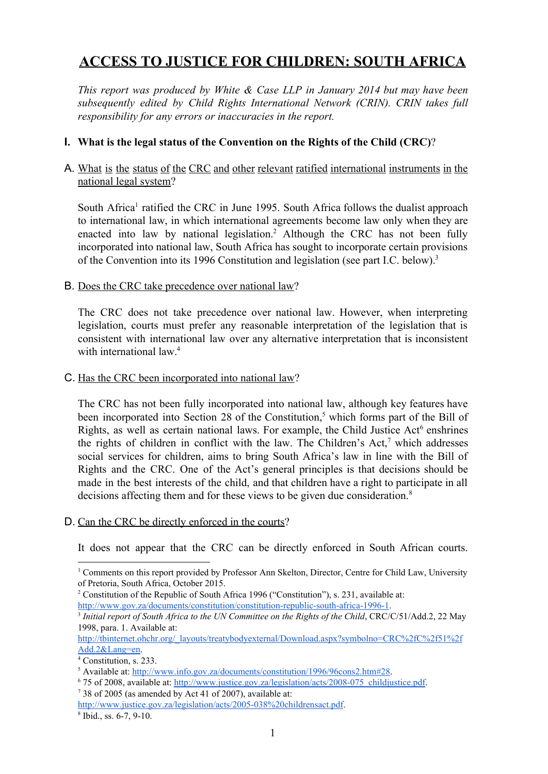# **ACCESS TO JUSTICE FOR CHILDREN: SOUTH AFRICA**

*This report was produced by White & Case LLP in January 2014 but may have been subsequently edited by Child Rights International Network (CRIN). CRIN takes full responsibility for any errors or inaccuracies in the report.*

# **I. What is the legal status of the Convention on the Rights of the Child (CRC)**?

## A. What is the status of the CRC and other relevant ratified international instruments in the national legal system?

South Africa<sup>1</sup> ratified the CRC in June 1995. South Africa follows the dualist approach to international law, in which international agreements become law only when they are enacted into law by national legislation.<sup>2</sup> Although the CRC has not been fully incorporated into national law, South Africa has sought to incorporate certain provisions of the Convention into its 1996 Constitution and legislation (see part I.C. below). 3

## B. Does the CRC take precedence over national law?

The CRC does not take precedence over national law. However, when interpreting legislation, courts must prefer any reasonable interpretation of the legislation that is consistent with international law over any alternative interpretation that is inconsistent with international law. 4

### C. Has the CRC been incorporated into national law?

The CRC has not been fully incorporated into national law, although key features have been incorporated into Section 28 of the Constitution,<sup>5</sup> which forms part of the Bill of Rights, as well as certain national laws. For example, the Child Justice  $Act^6$  enshrines the rights of children in conflict with the law. The Children's Act,<sup>7</sup> which addresses social services for children, aims to bring South Africa's law in line with the Bill of Rights and the CRC. One of the Act's general principles is that decisions should be made in the best interests of the child, and that children have a right to participate in all decisions affecting them and for these views to be given due consideration. 8

### D. Can the CRC be directly enforced in the courts?

It does not appear that the CRC can be directly enforced in South African courts.

<sup>1</sup> Comments on this report provided by Professor Ann Skelton, Director, Centre for Child Law, University of Pretoria, South Africa, October 2015.

<sup>2</sup> Constitution of the Republic of South Africa 1996 ("Constitution"), s. 231, available at: http://www.gov.za/documents/constitution/constitution-republic-south-africa-1996-1.

<sup>3</sup> *Initial report of South Africa to the UN Committee on the Rights of the Child*, CRC/C/51/Add.2, 22 May 1998, para. 1. Available at:

[http://tbinternet.ohchr.org/\\_layouts/treatybodyexternal/Download.aspx?symbolno=CRC%2fC%2f51%2f](http://tbinternet.ohchr.org/_layouts/treatybodyexternal/Download.aspx?symbolno=CRC%2fC%2f51%2fAdd.2&Lang=en) [Add.2&Lang=en.](http://tbinternet.ohchr.org/_layouts/treatybodyexternal/Download.aspx?symbolno=CRC%2fC%2f51%2fAdd.2&Lang=en)

<sup>4</sup> Constitution, s. 233.

<sup>5</sup> Available at: [http://www.info.gov.za/documents/constitution/1996/96cons2.htm#28.](http://www.info.gov.za/documents/constitution/1996/96cons2.htm#28)

<sup>&</sup>lt;sup>6</sup> 75 of 2008, available at: http://www.justice.gov.za/legislation/acts/2008-075 childjustice.pdf.

<sup>7</sup> 38 of 2005 (as amended by Act 41 of 2007), available at:

http://www.justice.gov.za/legislation/acts/2005-038%20childrensact.pdf.

 $8$  Ibid., ss. 6-7, 9-10.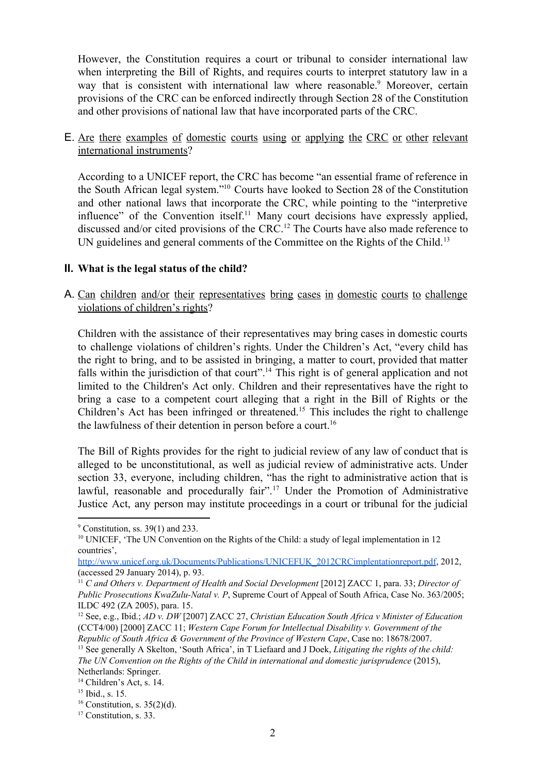However, the Constitution requires a court or tribunal to consider international law when interpreting the Bill of Rights, and requires courts to interpret statutory law in a way that is consistent with international law where reasonable.<sup>9</sup> Moreover, certain provisions of the CRC can be enforced indirectly through Section 28 of the Constitution and other provisions of national law that have incorporated parts of the CRC.

E. Are there examples of domestic courts using or applying the CRC or other relevant international instruments?

According to a UNICEF report, the CRC has become "an essential frame of reference in the South African legal system."<sup>10</sup> Courts have looked to Section 28 of the Constitution and other national laws that incorporate the CRC, while pointing to the "interpretive influence" of the Convention itself.<sup>11</sup> Many court decisions have expressly applied, discussed and/or cited provisions of the CRC.<sup>12</sup> The Courts have also made reference to UN guidelines and general comments of the Committee on the Rights of the Child.<sup>13</sup>

## **II. What is the legal status of the child?**

A. Can children and/or their representatives bring cases in domestic courts to challenge violations of children's rights?

Children with the assistance of their representatives may bring cases in domestic courts to challenge violations of children's rights. Under the Children's Act, "every child has the right to bring, and to be assisted in bringing, a matter to court, provided that matter falls within the jurisdiction of that court".<sup>14</sup> This right is of general application and not limited to the Children's Act only. Children and their representatives have the right to bring a case to a competent court alleging that a right in the Bill of Rights or the Children's Act has been infringed or threatened.<sup>15</sup> This includes the right to challenge the lawfulness of their detention in person before a court. 16

The Bill of Rights provides for the right to judicial review of any law of conduct that is alleged to be unconstitutional, as well as judicial review of administrative acts. Under section 33, everyone, including children, "has the right to administrative action that is lawful, reasonable and procedurally fair".<sup>17</sup> Under the Promotion of Administrative Justice Act, any person may institute proceedings in a court or tribunal for the judicial

 $9$  Constitution, ss. 39(1) and 233.

<sup>&</sup>lt;sup>10</sup> UNICEF, 'The UN Convention on the Rights of the Child: a study of legal implementation in 12 countries',

[http://www.unicef.org.uk/Documents/Publications/UNICEFUK\\_2012CRCimplentationreport.pdf,](http://www.unicef.org.uk/Documents/Publications/UNICEFUK_2012CRCimplentationreport.pdf) 2012, (accessed 29 January 2014), p. 93.

<sup>11</sup> *C and Others v. Department of Health and Social Development* [2012] ZACC 1, para. 33; *Director of Public Prosecutions KwaZulu-Natal v. P.* Supreme Court of Appeal of South Africa, Case No. 363/2005; ILDC 492 (ZA 2005), para. 15.

<sup>12</sup> See, e.g., Ibid.; *AD v. DW* [2007] ZACC 27, *Christian Education South Africa v Minister of Education* (CCT4/00) [2000] ZACC 11; *Western Cape Forum for Intellectual Disability v. Government of the*

*Republic of South Africa & Government of the Province of Western Cape*, Case no: 18678/2007. <sup>13</sup> See generally A Skelton, 'South Africa', in T Liefaard and J Doek, *Litigating the rights of the child: The UN Convention on the Rights of the Child in international and domestic jurisprudence* (2015), Netherlands: Springer.

<sup>&</sup>lt;sup>14</sup> Children's Act, s. 14.

<sup>15</sup> Ibid., s. 15.

 $16$  Constitution, s. 35(2)(d).

<sup>&</sup>lt;sup>17</sup> Constitution, s. 33.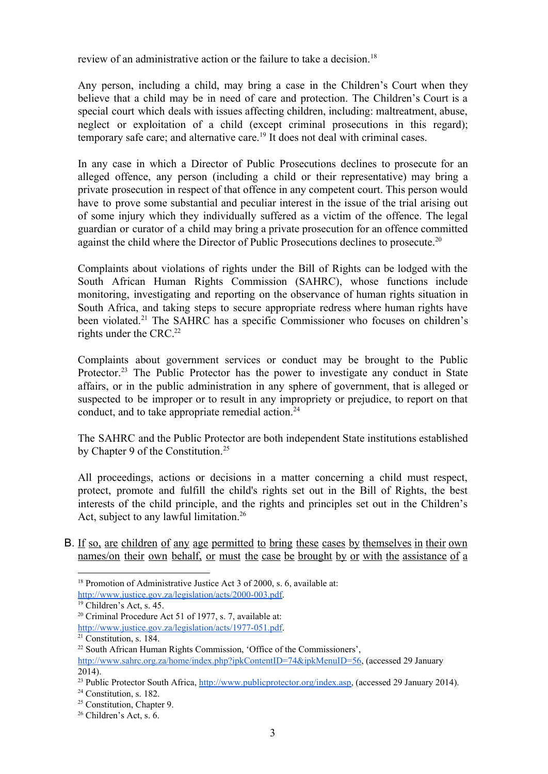review of an administrative action or the failure to take a decision. 18

Any person, including a child, may bring a case in the Children's Court when they believe that a child may be in need of care and protection. The Children's Court is a special court which deals with issues affecting children, including: maltreatment, abuse, neglect or exploitation of a child (except criminal prosecutions in this regard); temporary safe care; and alternative care.<sup>19</sup> It does not deal with criminal cases.

In any case in which a Director of Public Prosecutions declines to prosecute for an alleged offence, any person (including a child or their representative) may bring a private prosecution in respect of that offence in any competent court. This person would have to prove some substantial and peculiar interest in the issue of the trial arising out of some injury which they individually suffered as a victim of the offence. The legal guardian or curator of a child may bring a private prosecution for an offence committed against the child where the Director of Public Prosecutions declines to prosecute.<sup>20</sup>

Complaints about violations of rights under the Bill of Rights can be lodged with the South African Human Rights Commission (SAHRC), whose functions include monitoring, investigating and reporting on the observance of human rights situation in South Africa, and taking steps to secure appropriate redress where human rights have been violated.<sup>21</sup> The SAHRC has a specific Commissioner who focuses on children's rights under the CRC. 22

Complaints about government services or conduct may be brought to the Public Protector.<sup>23</sup> The Public Protector has the power to investigate any conduct in State affairs, or in the public administration in any sphere of government, that is alleged or suspected to be improper or to result in any impropriety or prejudice, to report on that conduct, and to take appropriate remedial action. 24

The SAHRC and the Public Protector are both independent State institutions established by Chapter 9 of the Constitution.<sup>25</sup>

All proceedings, actions or decisions in a matter concerning a child must respect, protect, promote and fulfill the child's rights set out in the Bill of Rights, the best interests of the child principle, and the rights and principles set out in the Children's Act, subject to any lawful limitation. 26

B. If so, are children of any age permitted to bring these cases by themselves in their own names/on their own behalf, or must the case be brought by or with the assistance of a

<sup>&</sup>lt;sup>18</sup> Promotion of Administrative Justice Act 3 of 2000, s. 6, available at:

http://www.justice.gov.za/legislation/acts/2000-003.pdf.

<sup>19</sup> Children's Act, s. 45.

<sup>20</sup> Criminal Procedure Act 51 of 1977, s. 7, available at:

http://www.justice.gov.za/legislation/acts/1977-051.pdf.

<sup>21</sup> Constitution, s. 184.

<sup>22</sup> South African Human Rights Commission, 'Office of the Commissioners',

[http://www.sahrc.org.za/home/index.php?ipkContentID=74&ipkMenuID=56,](http://www.sahrc.org.za/home/index.php?ipkContentID=74&ipkMenuID=56) (accessed 29 January 2014).

<sup>&</sup>lt;sup>23</sup> Public Protector South Africa, [http://www.publicprotector.org/index.asp,](http://www.publicprotector.org/index.asp) (accessed 29 January 2014).

<sup>&</sup>lt;sup>24</sup> Constitution, s. 182.

<sup>25</sup> Constitution, Chapter 9.

<sup>26</sup> Children's Act, s. 6.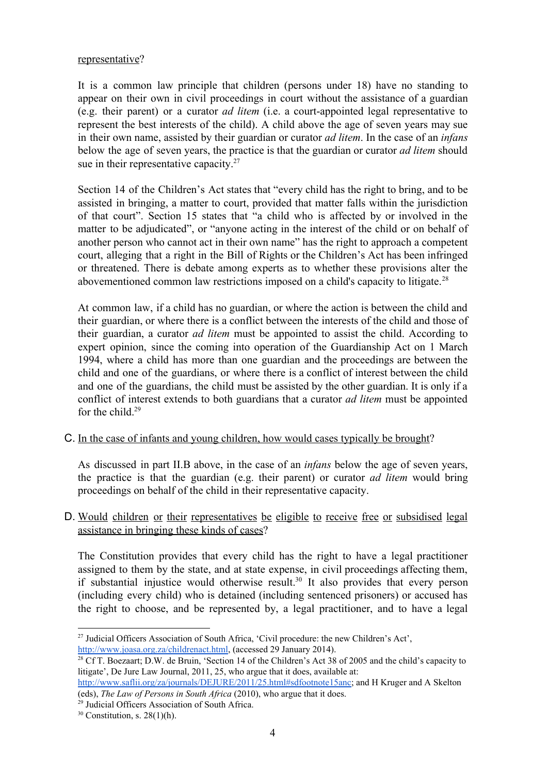### representative?

It is a common law principle that children (persons under 18) have no standing to appear on their own in civil proceedings in court without the assistance of a guardian (e.g. their parent) or a curator *ad litem* (i.e. a courtappointed legal representative to represent the best interests of the child). A child above the age of seven years may sue in their own name, assisted by their guardian or curator *ad litem*. In the case of an *infans* below the age of seven years, the practice is that the guardian or curator *ad litem* should sue in their representative capacity. $27$ 

Section 14 of the Children's Act states that "every child has the right to bring, and to be assisted in bringing, a matter to court, provided that matter falls within the jurisdiction of that court". Section 15 states that "a child who is affected by or involved in the matter to be adjudicated", or "anyone acting in the interest of the child or on behalf of another person who cannot act in their own name" has the right to approach a competent court, alleging that a right in the Bill of Rights or the Children's Act has been infringed or threatened. There is debate among experts as to whether these provisions alter the abovementioned common law restrictions imposed on a child's capacity to litigate. 28

At common law, if a child has no guardian, or where the action is between the child and their guardian, or where there is a conflict between the interests of the child and those of their guardian, a curator *ad litem* must be appointed to assist the child. According to expert opinion, since the coming into operation of the Guardianship Act on 1 March 1994, where a child has more than one guardian and the proceedings are between the child and one of the guardians, or where there is a conflict of interest between the child and one of the guardians, the child must be assisted by the other guardian. It is only if a conflict of interest extends to both guardians that a curator *ad litem* must be appointed for the child. 29

C. In the case of infants and young children, how would cases typically be brought?

As discussed in part II.B above, in the case of an *infans* below the age of seven years, the practice is that the guardian (e.g. their parent) or curator *ad litem* would bring proceedings on behalf of the child in their representative capacity.

D. Would children or their representatives be eligible to receive free or subsidised legal assistance in bringing these kinds of cases?

The Constitution provides that every child has the right to have a legal practitioner assigned to them by the state, and at state expense, in civil proceedings affecting them, if substantial injustice would otherwise result.<sup>30</sup> It also provides that every person (including every child) who is detained (including sentenced prisoners) or accused has the right to choose, and be represented by, a legal practitioner, and to have a legal

<sup>27</sup> Judicial Officers Association of South Africa, 'Civil procedure: the new Children's Act', [http://www.joasa.org.za/childrenact.html,](http://www.joasa.org.za/childrenact.html) (accessed 29 January 2014).

<sup>&</sup>lt;sup>28</sup> Cf T. Boezaart; D.W. de Bruin, 'Section 14 of the Children's Act 38 of 2005 and the child's capacity to litigate', De Jure Law Journal, 2011, 25, who argue that it does, available at:

[http://www.saflii.org/za/journals/DEJURE/2011/25.html#sdfootnote15anc;](http://www.saflii.org/za/journals/DEJURE/2011/25.html#sdfootnote15anc) and H Kruger and A Skelton (eds), *The Law of Persons in South Africa* (2010), who argue that it does.

<sup>29</sup> Judicial Officers Association of South Africa.

 $30$  Constitution, s. 28(1)(h).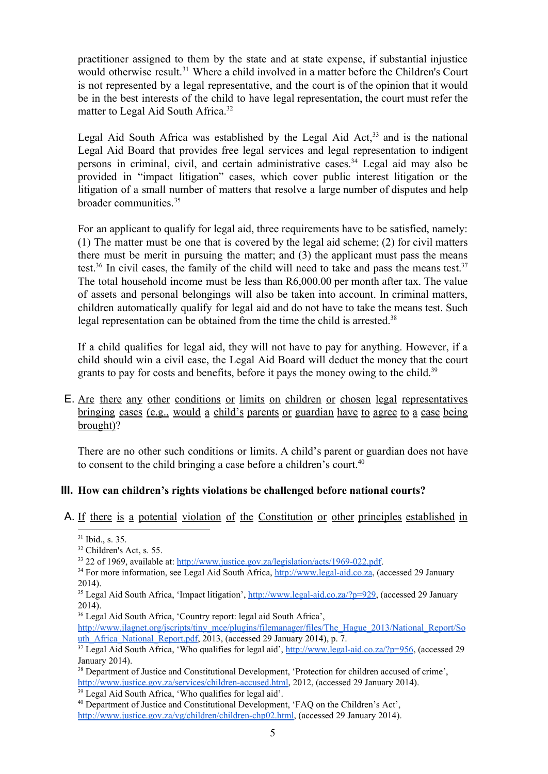practitioner assigned to them by the state and at state expense, if substantial injustice would otherwise result.<sup>31</sup> Where a child involved in a matter before the Children's Court is not represented by a legal representative, and the court is of the opinion that it would be in the best interests of the child to have legal representation, the court must refer the matter to Legal Aid South Africa.<sup>32</sup>

Legal Aid South Africa was established by the Legal Aid Act, $33$  and is the national Legal Aid Board that provides free legal services and legal representation to indigent persons in criminal, civil, and certain administrative cases.<sup>34</sup> Legal aid may also be provided in "impact litigation" cases, which cover public interest litigation or the litigation of a small number of matters that resolve a large number of disputes and help broader communities. 35

For an applicant to qualify for legal aid, three requirements have to be satisfied, namely: (1) The matter must be one that is covered by the legal aid scheme; (2) for civil matters there must be merit in pursuing the matter; and (3) the applicant must pass the means test.<sup>36</sup> In civil cases, the family of the child will need to take and pass the means test.<sup>37</sup> The total household income must be less than R6,000.00 per month after tax. The value of assets and personal belongings will also be taken into account. In criminal matters, children automatically qualify for legal aid and do not have to take the means test. Such legal representation can be obtained from the time the child is arrested. 38

If a child qualifies for legal aid, they will not have to pay for anything. However, if a child should win a civil case, the Legal Aid Board will deduct the money that the court grants to pay for costs and benefits, before it pays the money owing to the child.<sup>39</sup>

E. Are there any other conditions or limits on children or chosen legal representatives bringing cases (e.g., would a child's parents or guardian have to agree to a case being brought)?

There are no other such conditions or limits. A child's parent or guardian does not have to consent to the child bringing a case before a children's court. 40

# **III. How can children's rights violations be challenged before national courts?**

A. If there is a potential violation of the Constitution or other principles established in

<sup>39</sup> Legal Aid South Africa, 'Who qualifies for legal aid'.

<sup>40</sup> Department of Justice and Constitutional Development, 'FAQ on the Children's Act',

http://www.justice.gov.za/vg/children/children-chp02.html, (accessed 29 January 2014).

 $31$  Ibid., s. 35.

<sup>32</sup> Children's Act, s. 55.

 $33$  22 of 1969, available at: http://www.justice.gov.za/legislation/acts/1969-022.pdf.

<sup>&</sup>lt;sup>34</sup> For more information, see Legal Aid South Africa, http://www.legal-aid.co.za, (accessed 29 January 2014).

<sup>&</sup>lt;sup>35</sup> Legal Aid South Africa, 'Impact litigation', http://www.legal-aid.co.za/?p=929, (accessed 29 January 2014).

<sup>36</sup> Legal Aid South Africa, 'Country report: legal aid South Africa',

[http://www.ilagnet.org/jscripts/tiny\\_mce/plugins/filemanager/files/The\\_Hague\\_2013/National\\_Report/So](http://www.ilagnet.org/jscripts/tiny_mce/plugins/filemanager/files/The_Hague_2013/National_Report/South_Africa_National_Report.pdf) [uth\\_Africa\\_National\\_Report.pdf,](http://www.ilagnet.org/jscripts/tiny_mce/plugins/filemanager/files/The_Hague_2013/National_Report/South_Africa_National_Report.pdf) 2013, (accessed 29 January 2014), p. 7.

 $37$  Legal Aid South Africa, 'Who qualifies for legal aid',  $\frac{http://www.legal-aid.co.za/?p=956}{http://www.legal-aid.co.za/?p=956}$ , (accessed 29 January 2014).

<sup>&</sup>lt;sup>38</sup> Department of Justice and Constitutional Development, 'Protection for children accused of crime', http://www.justice.gov.za/services/children-accused.html, 2012, (accessed 29 January 2014).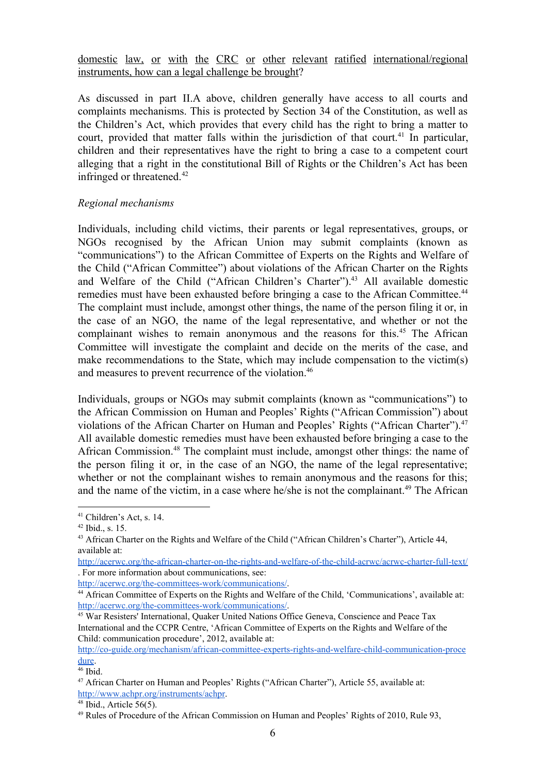domestic law, or with the CRC or other relevant ratified international/regional instruments, how can a legal challenge be brought?

As discussed in part II.A above, children generally have access to all courts and complaints mechanisms. This is protected by Section 34 of the Constitution, as well as the Children's Act, which provides that every child has the right to bring a matter to court, provided that matter falls within the jurisdiction of that court.<sup>41</sup> In particular, children and their representatives have the right to bring a case to a competent court alleging that a right in the constitutional Bill of Rights or the Children's Act has been infringed or threatened. 42

### *Regional mechanisms*

Individuals, including child victims, their parents or legal representatives, groups, or NGOs recognised by the African Union may submit complaints (known as "communications") to the African Committee of Experts on the Rights and Welfare of the Child ("African Committee") about violations of the African Charter on the Rights and Welfare of the Child ("African Children's Charter").<sup>43</sup> All available domestic remedies must have been exhausted before bringing a case to the African Committee.<sup>44</sup> The complaint must include, amongst other things, the name of the person filing it or, in the case of an NGO, the name of the legal representative, and whether or not the complainant wishes to remain anonymous and the reasons for this.<sup>45</sup> The African Committee will investigate the complaint and decide on the merits of the case, and make recommendations to the State, which may include compensation to the victim(s) and measures to prevent recurrence of the violation. 46

Individuals, groups or NGOs may submit complaints (known as "communications") to the African Commission on Human and Peoples' Rights ("African Commission") about violations of the African Charter on Human and Peoples' Rights ("African Charter").<sup>47</sup> All available domestic remedies must have been exhausted before bringing a case to the African Commission.<sup>48</sup> The complaint must include, amongst other things: the name of the person filing it or, in the case of an NGO, the name of the legal representative; whether or not the complainant wishes to remain anonymous and the reasons for this; and the name of the victim, in a case where he/she is not the complainant.<sup>49</sup> The African

http://acerwc.org/the-committees-work/communications/.

<sup>41</sup> Children's Act, s. 14.

 $42$  Ibid., s. 15.

<sup>43</sup> African Charter on the Rights and Welfare of the Child ("African Children's Charter"), Article 44, available at:

http://acerwc.org/the-african-charter-on-the-rights-and-welfare-of-the-child-acrwc/acrwc-charter-full-text/ . For more information about communications, see:

<sup>44</sup> African Committee of Experts on the Rights and Welfare of the Child, 'Communications', available at: http://acerwc.org/the-committees-work/communications/.

<sup>45</sup> War Resisters' International, Quaker United Nations Office Geneva, Conscience and Peace Tax International and the CCPR Centre, 'African Committee of Experts on the Rights and Welfare of the Child: communication procedure', 2012, available at:

http://co-guide.org/mechanism/african-committee-experts-rights-and-welfare-child-communication-proce [dure](http://co-guide.org/mechanism/african-committee-experts-rights-and-welfare-child-communication-procedure).

<sup>46</sup> Ibid.

<sup>47</sup> African Charter on Human and Peoples' Rights ("African Charter"), Article 55, available at: [http://www.achpr.org/instruments/achpr.](http://www.achpr.org/instruments/achpr)

 $48$  Ibid., Article 56(5).

<sup>&</sup>lt;sup>49</sup> Rules of Procedure of the African Commission on Human and Peoples' Rights of 2010, Rule 93,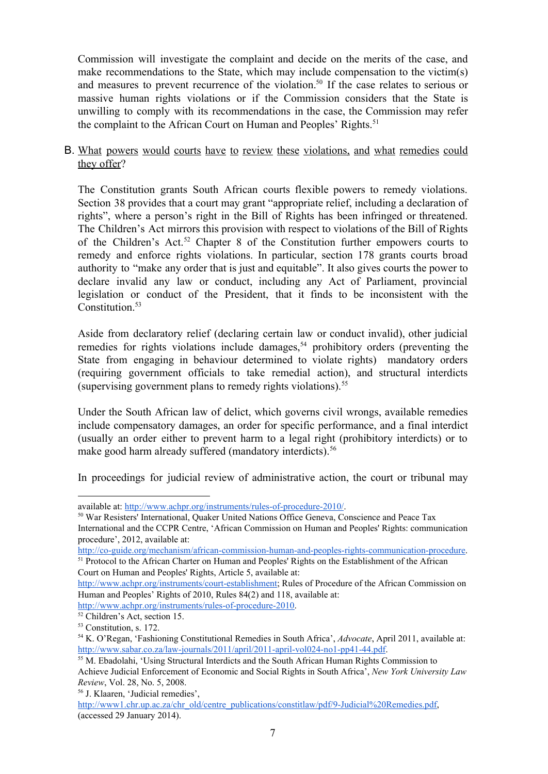Commission will investigate the complaint and decide on the merits of the case, and make recommendations to the State, which may include compensation to the victim(s) and measures to prevent recurrence of the violation.<sup>50</sup> If the case relates to serious or massive human rights violations or if the Commission considers that the State is unwilling to comply with its recommendations in the case, the Commission may refer the complaint to the African Court on Human and Peoples' Rights. 51

# B. What powers would courts have to review these violations, and what remedies could they offer?

The Constitution grants South African courts flexible powers to remedy violations. Section 38 provides that a court may grant "appropriate relief, including a declaration of rights", where a person's right in the Bill of Rights has been infringed or threatened. The Children's Act mirrors this provision with respect to violations of the Bill of Rights of the Children's Act.<sup>52</sup> Chapter 8 of the Constitution further empowers courts to remedy and enforce rights violations. In particular, section 178 grants courts broad authority to "make any order that is just and equitable". It also gives courts the power to declare invalid any law or conduct, including any Act of Parliament, provincial legislation or conduct of the President, that it finds to be inconsistent with the Constitution. 53

Aside from declaratory relief (declaring certain law or conduct invalid), other judicial remedies for rights violations include damages,<sup>54</sup> prohibitory orders (preventing the State from engaging in behaviour determined to violate rights) mandatory orders (requiring government officials to take remedial action), and structural interdicts (supervising government plans to remedy rights violations). 55

Under the South African law of delict, which governs civil wrongs, available remedies include compensatory damages, an order for specific performance, and a final interdict (usually an order either to prevent harm to a legal right (prohibitory interdicts) or to make good harm already suffered (mandatory interdicts). 56

In proceedings for judicial review of administrative action, the court or tribunal may

Court on Human and Peoples' Rights, Article 5, available at:

http://www.achpr.org/instruments/rules-of-procedure-2010.

available at: http://www.achpr.org/instruments/rules-of-procedure-2010/.

<sup>50</sup> War Resisters' International, Quaker United Nations Office Geneva, Conscience and Peace Tax International and the CCPR Centre, 'African Commission on Human and Peoples' Rights: communication procedure', 2012, available at:

http://co-guide.org/mechanism/african-commission-human-and-peoples-rights-communication-procedure. <sup>51</sup> Protocol to the African Charter on Human and Peoples' Rights on the Establishment of the African

http://www.achpr.org/instruments/court-establishment; Rules of Procedure of the African Commission on Human and Peoples' Rights of 2010, Rules 84(2) and 118, available at:

<sup>52</sup> Children's Act, section 15.

<sup>53</sup> Constitution, s. 172.

<sup>54</sup> K. O'Regan, 'Fashioning Constitutional Remedies in South Africa', *Advocate*, April 2011, available at: http://www.sabar.co.za/law-journals/2011/april/2011-april-vol024-no1-pp41-44.pdf.

<sup>55</sup> M. Ebadolahi, 'Using Structural Interdicts and the South African Human Rights Commission to Achieve Judicial Enforcement of Economic and Social Rights in South Africa', *New York University Law Review*, Vol. 28, No. 5, 2008.

<sup>56</sup> J. Klaaren, 'Judicial remedies',

http://www1.chr.up.ac.za/chr\_old/centre\_publications/constitlaw/pdf/9-Judicial%20Remedies.pdf, (accessed 29 January 2014).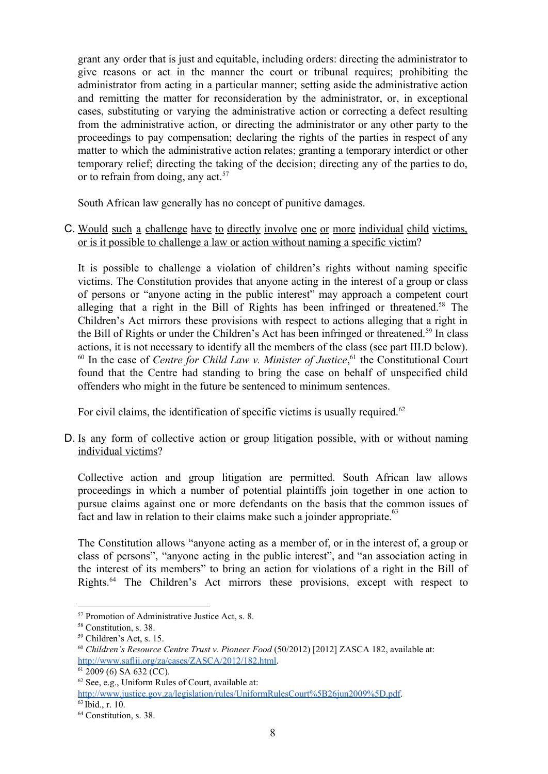grant any order that is just and equitable, including orders: directing the administrator to give reasons or act in the manner the court or tribunal requires; prohibiting the administrator from acting in a particular manner; setting aside the administrative action and remitting the matter for reconsideration by the administrator, or, in exceptional cases, substituting or varying the administrative action or correcting a defect resulting from the administrative action, or directing the administrator or any other party to the proceedings to pay compensation; declaring the rights of the parties in respect of any matter to which the administrative action relates; granting a temporary interdict or other temporary relief; directing the taking of the decision; directing any of the parties to do, or to refrain from doing, any act. 57

South African law generally has no concept of punitive damages.

C. Would such a challenge have to directly involve one or more individual child victims, or is it possible to challenge a law or action without naming a specific victim?

It is possible to challenge a violation of children's rights without naming specific victims. The Constitution provides that anyone acting in the interest of a group or class of persons or "anyone acting in the public interest" may approach a competent court alleging that a right in the Bill of Rights has been infringed or threatened.<sup>58</sup> The Children's Act mirrors these provisions with respect to actions alleging that a right in the Bill of Rights or under the Children's Act has been infringed or threatened.<sup>59</sup> In class actions, it is not necessary to identify all the members of the class (see part III.D below). <sup>60</sup> In the case of *Centre for Child Law v. Minister of Justice*,<sup>61</sup> the Constitutional Court found that the Centre had standing to bring the case on behalf of unspecified child offenders who might in the future be sentenced to minimum sentences.

For civil claims, the identification of specific victims is usually required.<sup>62</sup>

D. Is any form of collective action or group litigation possible, with or without naming individual victims?

Collective action and group litigation are permitted. South African law allows proceedings in which a number of potential plaintiffs join together in one action to pursue claims against one or more defendants on the basis that the common issues of fact and law in relation to their claims make such a joinder appropriate.<sup>63</sup>

The Constitution allows "anyone acting as a member of, or in the interest of, a group or class of persons", "anyone acting in the public interest", and "an association acting in the interest of its members" to bring an action for violations of a right in the Bill of Rights. $64$  The Children's Act mirrors these provisions, except with respect to

<sup>57</sup> Promotion of Administrative Justice Act, s. 8.

<sup>58</sup> Constitution, s. 38.

<sup>59</sup> Children's Act, s. 15.

<sup>60</sup> *Children's Resource Centre Trust v. Pioneer Food* (50/2012) [2012] ZASCA 182, available at: [http://www.saflii.org/za/cases/ZASCA/2012/182.html.](http://www.saflii.org/za/cases/ZASCA/2012/182.html)

<sup>61</sup> 2009 (6) SA 632 (CC).

<sup>62</sup> See, e.g., Uniform Rules of Court, available at:

<http://www.justice.gov.za/legislation/rules/UniformRulesCourt%5B26jun2009%5D.pdf>. 63 Ibid., r. 10.

<sup>&</sup>lt;sup>64</sup> Constitution, s. 38.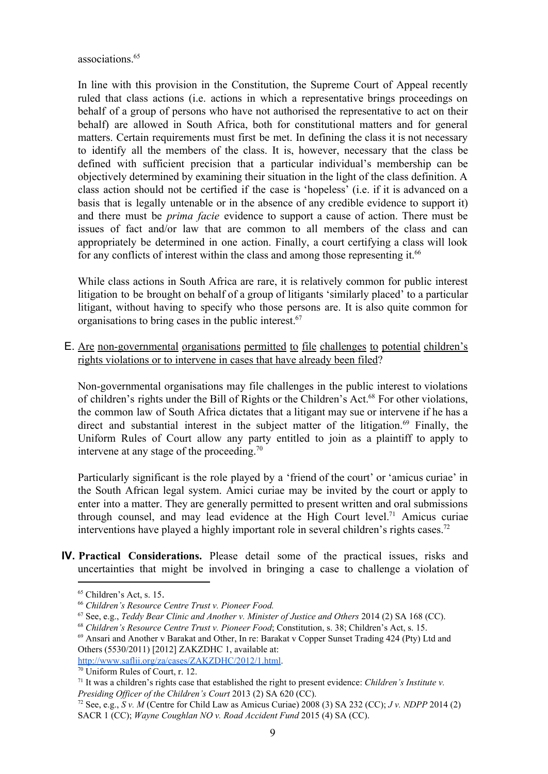associations. 65

In line with this provision in the Constitution, the Supreme Court of Appeal recently ruled that class actions (i.e. actions in which a representative brings proceedings on behalf of a group of persons who have not authorised the representative to act on their behalf) are allowed in South Africa, both for constitutional matters and for general matters. Certain requirements must first be met. In defining the class it is not necessary to identify all the members of the class. It is, however, necessary that the class be defined with sufficient precision that a particular individual's membership can be objectively determined by examining their situation in the light of the class definition. A class action should not be certified if the case is 'hopeless' (i.e. if it is advanced on a basis that is legally untenable or in the absence of any credible evidence to support it) and there must be *prima facie* evidence to support a cause of action. There must be issues of fact and/or law that are common to all members of the class and can appropriately be determined in one action. Finally, a court certifying a class will look for any conflicts of interest within the class and among those representing it.<sup>66</sup>

While class actions in South Africa are rare, it is relatively common for public interest litigation to be brought on behalf of a group of litigants 'similarly placed' to a particular litigant, without having to specify who those persons are. It is also quite common for organisations to bring cases in the public interest. 67

E. Are non-governmental organisations permitted to file challenges to potential children's rights violations or to intervene in cases that have already been filed?

Non-governmental organisations may file challenges in the public interest to violations of children's rights under the Bill of Rights or the Children's Act.<sup>68</sup> For other violations, the common law of South Africa dictates that a litigant may sue or intervene if he has a direct and substantial interest in the subject matter of the litigation. $69$  Finally, the Uniform Rules of Court allow any party entitled to join as a plaintiff to apply to intervene at any stage of the proceeding. 70

Particularly significant is the role played by a 'friend of the court' or 'amicus curiae' in the South African legal system. Amici curiae may be invited by the court or apply to enter into a matter. They are generally permitted to present written and oral submissions through counsel, and may lead evidence at the High Court level.<sup>71</sup> Amicus curiae interventions have played a highly important role in several children's rights cases. 72

**IV. Practical Considerations.** Please detail some of the practical issues, risks and uncertainties that might be involved in bringing a case to challenge a violation of

<sup>65</sup> Children's Act, s. 15.

<sup>66</sup> *Children's Resource Centre Trust v. Pioneer Food.*

<sup>67</sup> See, e.g., *Teddy Bear Clinic and Another v. Minister of Justice and Others* 2014 (2) SA 168 (CC).

<sup>68</sup> *Children's Resource Centre Trust v. Pioneer Food*; Constitution, s. 38; Children's Act, s. 15.

<sup>69</sup> Ansari and Another v Barakat and Other, In re: Barakat v Copper Sunset Trading 424 (Pty) Ltd and Others (5530/2011) [2012] ZAKZDHC 1, available at:

[http://www.saflii.org/za/cases/ZAKZDHC/2012/1.html.](http://www.saflii.org/za/cases/ZAKZDHC/2012/1.html)

<sup>70</sup> Uniform Rules of Court, r. 12.

<sup>71</sup> It was a children's rights case that established the right to present evidence: *Children's Institute v. Presiding Of icer of the Children's Court* 2013 (2) SA 620 (CC).

<sup>&</sup>lt;sup>72</sup> See, e.g., *S v. M* (Centre for Child Law as Amicus Curiae) 2008 (3) SA 232 (CC); *J v. NDPP* 2014 (2) SACR 1 (CC); *Wayne Coughlan NO v. Road Accident Fund* 2015 (4) SA (CC).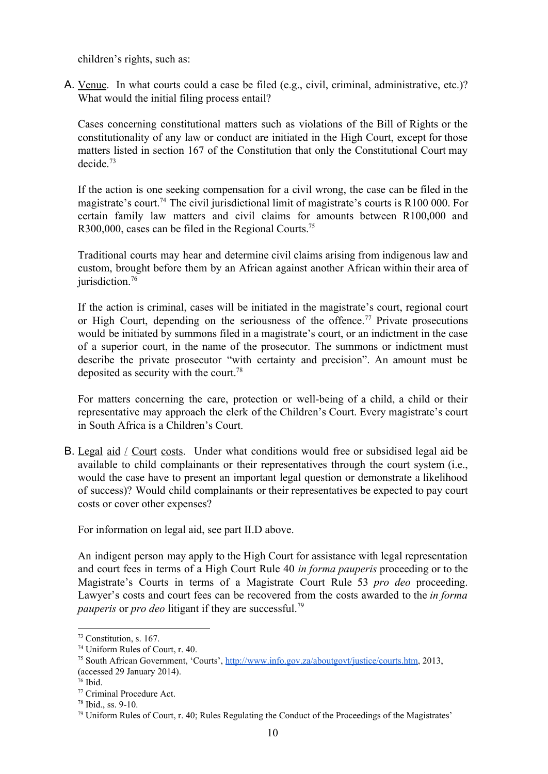children's rights, such as:

A. Venue. In what courts could a case be filed (e.g., civil, criminal, administrative, etc.)? What would the initial filing process entail?

Cases concerning constitutional matters such as violations of the Bill of Rights or the constitutionality of any law or conduct are initiated in the High Court, except for those matters listed in section 167 of the Constitution that only the Constitutional Court may decide. 73

If the action is one seeking compensation for a civil wrong, the case can be filed in the magistrate's court.<sup>74</sup> The civil jurisdictional limit of magistrate's courts is R100 000. For certain family law matters and civil claims for amounts between R100,000 and R300,000, cases can be filed in the Regional Courts.<sup>75</sup>

Traditional courts may hear and determine civil claims arising from indigenous law and custom, brought before them by an African against another African within their area of jurisdiction. 76

If the action is criminal, cases will be initiated in the magistrate's court, regional court or High Court, depending on the seriousness of the offence.<sup>77</sup> Private prosecutions would be initiated by summons filed in a magistrate's court, or an indictment in the case of a superior court, in the name of the prosecutor. The summons or indictment must describe the private prosecutor "with certainty and precision". An amount must be deposited as security with the court. 78

For matters concerning the care, protection or well-being of a child, a child or their representative may approach the clerk of the Children's Court. Every magistrate's court in South Africa is a Children's Court.

B. Legal aid / Court costs. Under what conditions would free or subsidised legal aid be available to child complainants or their representatives through the court system (i.e., would the case have to present an important legal question or demonstrate a likelihood of success)? Would child complainants or their representatives be expected to pay court costs or cover other expenses?

For information on legal aid, see part II.D above.

An indigent person may apply to the High Court for assistance with legal representation and court fees in terms of a High Court Rule 40 *in forma pauperis* proceeding or to the Magistrate's Courts in terms of a Magistrate Court Rule 53 *pro deo* proceeding. Lawyer's costs and court fees can be recovered from the costs awarded to the *in forma pauperis* or *pro deo* litigant if they are successful. 79

<sup>73</sup> Constitution, s. 167.

<sup>74</sup> Uniform Rules of Court, r. 40.

<sup>75</sup> South African Government, 'Courts', [http://www.info.gov.za/aboutgovt/justice/courts.htm,](http://www.info.gov.za/aboutgovt/justice/courts.htm) 2013, (accessed 29 January 2014).

<sup>76</sup> Ibid.

<sup>77</sup> Criminal Procedure Act.

 $78$  Ibid., ss. 9-10.

<sup>79</sup> Uniform Rules of Court, r. 40; Rules Regulating the Conduct of the Proceedings of the Magistrates'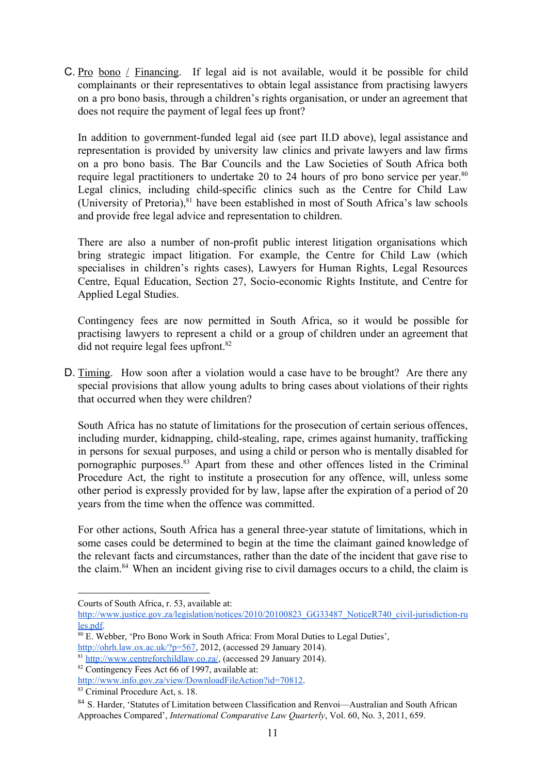C. Pro bono / Financing. If legal aid is not available, would it be possible for child complainants or their representatives to obtain legal assistance from practising lawyers on a pro bono basis, through a children's rights organisation, or under an agreement that does not require the payment of legal fees up front?

In addition to government-funded legal aid (see part II.D above), legal assistance and representation is provided by university law clinics and private lawyers and law firms on a pro bono basis. The Bar Councils and the Law Societies of South Africa both require legal practitioners to undertake 20 to 24 hours of pro bono service per year.<sup>80</sup> Legal clinics, including child-specific clinics such as the Centre for Child Law (University of Pretoria), $81$  have been established in most of South Africa's law schools and provide free legal advice and representation to children.

There are also a number of non-profit public interest litigation organisations which bring strategic impact litigation. For example, the Centre for Child Law (which specialises in children's rights cases), Lawyers for Human Rights, Legal Resources Centre, Equal Education, Section 27, Socio-economic Rights Institute, and Centre for Applied Legal Studies.

Contingency fees are now permitted in South Africa, so it would be possible for practising lawyers to represent a child or a group of children under an agreement that did not require legal fees upfront. 82

D. Timing. How soon after a violation would a case have to be brought? Are there any special provisions that allow young adults to bring cases about violations of their rights that occurred when they were children?

South Africa has no statute of limitations for the prosecution of certain serious offences, including murder, kidnapping, child-stealing, rape, crimes against humanity, trafficking in persons for sexual purposes, and using a child or person who is mentally disabled for pornographic purposes.<sup>83</sup> Apart from these and other offences listed in the Criminal Procedure Act, the right to institute a prosecution for any offence, will, unless some other period is expressly provided for by law, lapse after the expiration of a period of 20 years from the time when the offence was committed.

For other actions, South Africa has a general three-year statute of limitations, which in some cases could be determined to begin at the time the claimant gained knowledge of the relevant facts and circumstances, rather than the date of the incident that gave rise to the claim.<sup>84</sup> When an incident giving rise to civil damages occurs to a child, the claim is

Courts of South Africa, r. 53, available at:

http://www.justice.gov.za/legislation/notices/2010/20100823\_GG33487\_NoticeR740\_civil-jurisdiction-ru [les.pdf](http://www.justice.gov.za/legislation/notices/2010/20100823_GG33487_NoticeR740_civil-jurisdiction-rules.pdf).

<sup>80</sup> E. Webber, 'Pro Bono Work in South Africa: From Moral Duties to Legal Duties',

[http://ohrh.law.ox.ac.uk/?p=567,](http://ohrh.law.ox.ac.uk/?p=567) 2012, (accessed 29 January 2014).

<sup>81</sup> [http://www.centreforchildlaw.co.za/,](http://www.centreforchildlaw.co.za/) (accessed 29 January 2014).

<sup>82</sup> Contingency Fees Act 66 of 1997, available at:

<http://www.info.gov.za/view/DownloadFileAction?id=70812>.

<sup>83</sup> Criminal Procedure Act, s. 18.

<sup>84</sup> S. Harder, 'Statutes of Limitation between Classification and Renvoi-Australian and South African Approaches Compared', *International Comparative Law Quarterly*, Vol. 60, No. 3, 2011, 659.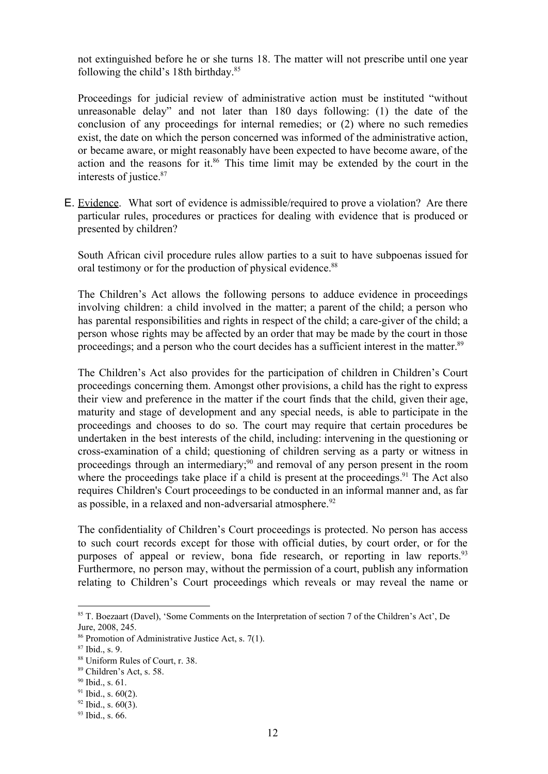not extinguished before he or she turns 18. The matter will not prescribe until one year following the child's 18th birthday. 85

Proceedings for judicial review of administrative action must be instituted "without unreasonable delay" and not later than 180 days following: (1) the date of the conclusion of any proceedings for internal remedies; or (2) where no such remedies exist, the date on which the person concerned was informed of the administrative action, or became aware, or might reasonably have been expected to have become aware, of the action and the reasons for it.<sup>86</sup> This time limit may be extended by the court in the interests of justice. 87

E. Evidence. What sort of evidence is admissible/required to prove a violation? Are there particular rules, procedures or practices for dealing with evidence that is produced or presented by children?

South African civil procedure rules allow parties to a suit to have subpoenas issued for oral testimony or for the production of physical evidence.<sup>88</sup>

The Children's Act allows the following persons to adduce evidence in proceedings involving children: a child involved in the matter; a parent of the child; a person who has parental responsibilities and rights in respect of the child; a care-giver of the child; a person whose rights may be affected by an order that may be made by the court in those proceedings; and a person who the court decides has a sufficient interest in the matter.<sup>89</sup>

The Children's Act also provides for the participation of children in Children's Court proceedings concerning them. Amongst other provisions, a child has the right to express their view and preference in the matter if the court finds that the child, given their age, maturity and stage of development and any special needs, is able to participate in the proceedings and chooses to do so. The court may require that certain procedures be undertaken in the best interests of the child, including: intervening in the questioning or crossexamination of a child; questioning of children serving as a party or witness in proceedings through an intermediary; <sup>90</sup> and removal of any person present in the room where the proceedings take place if a child is present at the proceedings.<sup>91</sup> The Act also requires Children's Court proceedings to be conducted in an informal manner and, as far as possible, in a relaxed and non-adversarial atmosphere.<sup>92</sup>

The confidentiality of Children's Court proceedings is protected. No person has access to such court records except for those with official duties, by court order, or for the purposes of appeal or review, bona fide research, or reporting in law reports.<sup>93</sup> Furthermore, no person may, without the permission of a court, publish any information relating to Children's Court proceedings which reveals or may reveal the name or

<sup>85</sup> T. Boezaart (Davel), 'Some Comments on the Interpretation of section 7 of the Children's Act', De Jure, 2008, 245.

<sup>86</sup> Promotion of Administrative Justice Act, s. 7(1).

<sup>87</sup> Ibid., s. 9.

<sup>88</sup> Uniform Rules of Court, r. 38.

<sup>89</sup> Children's Act, s. 58.

<sup>90</sup> Ibid., s. 61.

 $91$  Ibid., s.  $60(2)$ .

 $92$  Ibid., s.  $60(3)$ .

<sup>&</sup>lt;sup>93</sup> Ibid., s. 66.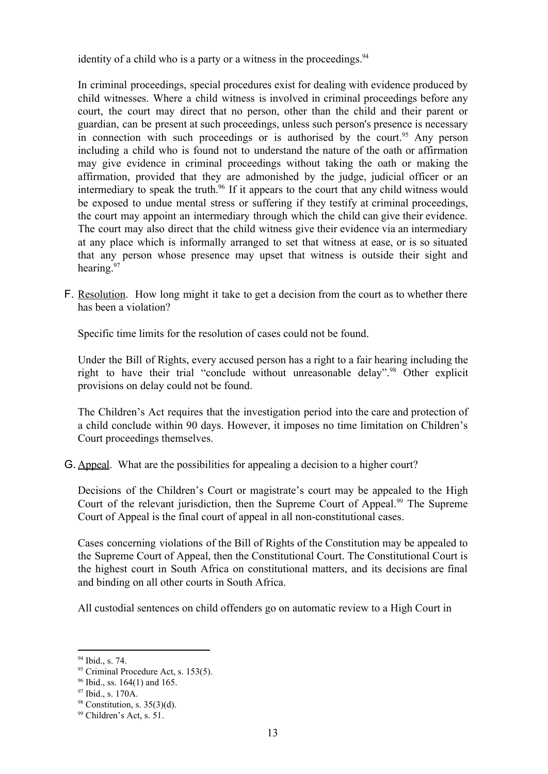identity of a child who is a party or a witness in the proceedings.<sup>94</sup>

In criminal proceedings, special procedures exist for dealing with evidence produced by child witnesses. Where a child witness is involved in criminal proceedings before any court, the court may direct that no person, other than the child and their parent or guardian, can be present at such proceedings, unless such person's presence is necessary in connection with such proceedings or is authorised by the court.<sup>95</sup> Any person including a child who is found not to understand the nature of the oath or affirmation may give evidence in criminal proceedings without taking the oath or making the affirmation, provided that they are admonished by the judge, judicial officer or an intermediary to speak the truth.<sup>96</sup> If it appears to the court that any child witness would be exposed to undue mental stress or suffering if they testify at criminal proceedings, the court may appoint an intermediary through which the child can give their evidence. The court may also direct that the child witness give their evidence via an intermediary at any place which is informally arranged to set that witness at ease, or is so situated that any person whose presence may upset that witness is outside their sight and hearing.<sup>97</sup>

F. Resolution. How long might it take to get a decision from the court as to whether there has been a violation?

Specific time limits for the resolution of cases could not be found.

Under the Bill of Rights, every accused person has a right to a fair hearing including the right to have their trial "conclude without unreasonable delay".<sup>98</sup> Other explicit provisions on delay could not be found.

The Children's Act requires that the investigation period into the care and protection of a child conclude within 90 days. However, it imposes no time limitation on Children's Court proceedings themselves.

G. Appeal. What are the possibilities for appealing a decision to a higher court?

Decisions of the Children's Court or magistrate's court may be appealed to the High Court of the relevant jurisdiction, then the Supreme Court of Appeal.<sup>99</sup> The Supreme Court of Appeal is the final court of appeal in all non-constitutional cases.

Cases concerning violations of the Bill of Rights of the Constitution may be appealed to the Supreme Court of Appeal, then the Constitutional Court. The Constitutional Court is the highest court in South Africa on constitutional matters, and its decisions are final and binding on all other courts in South Africa.

All custodial sentences on child offenders go on automatic review to a High Court in

<sup>94</sup> Ibid., s. 74.

<sup>&</sup>lt;sup>95</sup> Criminal Procedure Act, s. 153(5).

<sup>96</sup> Ibid., ss. 164(1) and 165.

<sup>&</sup>lt;sup>97</sup> Ibid., s. 170A.

 $98$  Constitution, s. 35(3)(d).

<sup>99</sup> Children's Act, s. 51.